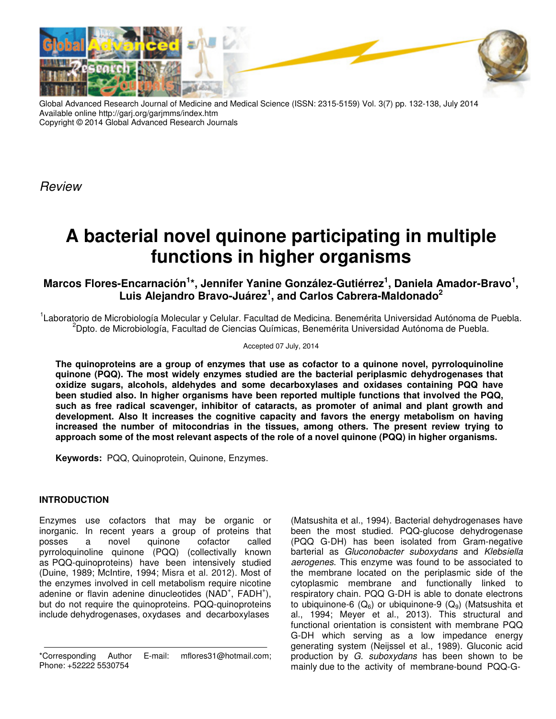

Global Advanced Research Journal of Medicine and Medical Science (ISSN: 2315-5159) Vol. 3(7) pp. 132-138, July 2014 Available online http://garj.org/garjmms/index.htm Copyright © 2014 Global Advanced Research Journals

Review

# **A bacterial novel quinone participating in multiple functions in higher organisms**

**Marcos Flores-Encarnación<sup>1</sup> \*, Jennifer Yanine González-Gutiérrez<sup>1</sup> , Daniela Amador-Bravo<sup>1</sup> , Luis Alejandro Bravo-Juárez<sup>1</sup> , and Carlos Cabrera-Maldonado<sup>2</sup>**

<sup>1</sup>Laboratorio de Microbiología Molecular y Celular. Facultad de Medicina. Benemérita Universidad Autónoma de Puebla.  $^2$ Dpto. de Microbiología, Facultad de Ciencias Químicas, Benemérita Universidad Autónoma de Puebla.

#### Accepted 07 July, 2014

**The quinoproteins are a group of enzymes that use as cofactor to a quinone novel, pyrroloquinoline quinone (PQQ). The most widely enzymes studied are the bacterial periplasmic dehydrogenases that oxidize sugars, alcohols, aldehydes and some decarboxylases and oxidases containing PQQ have been studied also. In higher organisms have been reported multiple functions that involved the PQQ, such as free radical scavenger, inhibitor of cataracts, as promoter of animal and plant growth and development. Also It increases the cognitive capacity and favors the energy metabolism on having increased the number of mitocondrias in the tissues, among others. The present review trying to approach some of the most relevant aspects of the role of a novel quinone (PQQ) in higher organisms.** 

**Keywords:** PQQ, Quinoprotein, Quinone, Enzymes.

# **INTRODUCTION**

Enzymes use cofactors that may be organic or inorganic. In recent years a group of proteins that posses a novel quinone cofactor called pyrroloquinoline quinone (PQQ) (collectivally known as PQQ-quinoproteins) have been intensively studied (Duine, 1989; McIntire, 1994; Misra et al. 2012). Most of the enzymes involved in cell metabolism require nicotine adenine or flavin adenine dinucleotides (NAD<sup>+</sup>, FADH<sup>+</sup>), but do not require the quinoproteins. PQQ-quinoproteins include dehydrogenases, oxydases and decarboxylases

(Matsushita et al., 1994). Bacterial dehydrogenases have been the most studied. PQQ-glucose dehydrogenase (PQQ G-DH) has been isolated from Gram-negative barterial as Gluconobacter suboxydans and Klebsiella aerogenes. This enzyme was found to be associated to the membrane located on the periplasmic side of the cytoplasmic membrane and functionally linked to respiratory chain. PQQ G-DH is able to donate electrons to ubiquinone-6  $(Q_6)$  or ubiquinone-9  $(Q_9)$  (Matsushita et al., 1994; Meyer et al., 2013). This structural and functional orientation is consistent with membrane PQQ G-DH which serving as a low impedance energy generating system (Neijssel et al., 1989). Gluconic acid production by G. suboxydans has been shown to be mainly due to the activity of membrane-bound PQQ-G-

<sup>\*</sup>Corresponding Author E-mail: mflores31@hotmail.com; Phone: +52222 5530754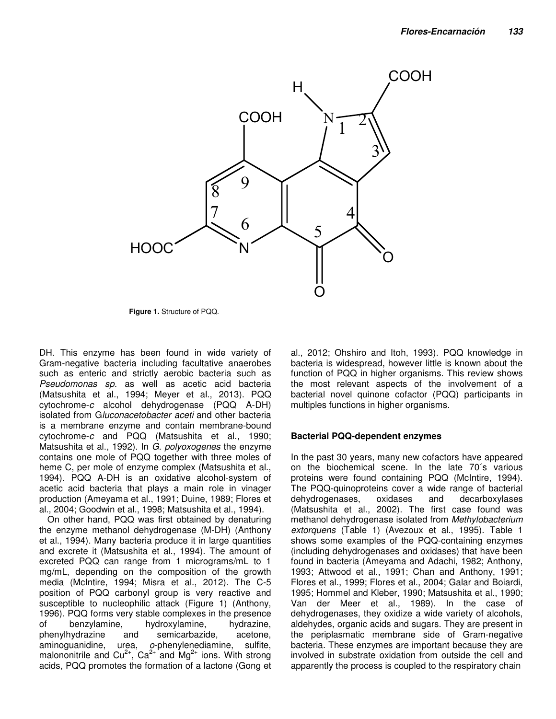

**Figure 1.** Structure of PQQ.

DH. This enzyme has been found in wide variety of Gram-negative bacteria including facultative anaerobes such as enteric and strictly aerobic bacteria such as Pseudomonas sp. as well as acetic acid bacteria (Matsushita et al., 1994; Meyer et al., 2013). PQQ cytochrome-c alcohol dehydrogenase (PQQ A-DH) isolated from Gluconacetobacter aceti and other bacteria is a membrane enzyme and contain membrane-bound cytochrome-c and PQQ (Matsushita et al., 1990; Matsushita et al., 1992). In G. polyoxogenes the enzyme contains one mole of PQQ together with three moles of heme C, per mole of enzyme complex (Matsushita et al., 1994). PQQ A-DH is an oxidative alcohol-system of acetic acid bacteria that plays a main role in vinager production (Ameyama et al., 1991; Duine, 1989; Flores et al., 2004; Goodwin et al., 1998; Matsushita et al., 1994).

On other hand, PQQ was first obtained by denaturing the enzyme methanol dehydrogenase (M-DH) (Anthony et al., 1994). Many bacteria produce it in large quantities and excrete it (Matsushita et al., 1994). The amount of excreted PQQ can range from 1 micrograms/mL to 1 mg/mL, depending on the composition of the growth media (McIntire, 1994; Misra et al., 2012). The C-5 position of PQQ carbonyl group is very reactive and susceptible to nucleophilic attack (Figure 1) (Anthony, 1996). PQQ forms very stable complexes in the presence of benzylamine, hydroxylamine, hydrazine, phenylhydrazine and semicarbazide, acetone, aminoguanidine, urea, o-phenylenediamine, sulfite, malononitrile and  $Cu^{2+}$ ,  $Ca^{2+}$  and  $Mg^{2+}$  ions. With strong acids, PQQ promotes the formation of a lactone (Gong et al., 2012; Ohshiro and Itoh, 1993). PQQ knowledge in bacteria is widespread, however little is known about the function of PQQ in higher organisms. This review shows the most relevant aspects of the involvement of a bacterial novel quinone cofactor (PQQ) participants in multiples functions in higher organisms.

#### **Bacterial PQQ-dependent enzymes**

In the past 30 years, many new cofactors have appeared on the biochemical scene. In the late 70´s various proteins were found containing PQQ (McIntire, 1994). The PQQ-quinoproteins cover a wide range of bacterial dehydrogenases, oxidases and decarboxylases (Matsushita et al., 2002). The first case found was methanol dehydrogenase isolated from Methylobacterium extorquens (Table 1) (Avezoux et al., 1995). Table 1 shows some examples of the PQQ-containing enzymes (including dehydrogenases and oxidases) that have been found in bacteria (Ameyama and Adachi, 1982; Anthony, 1993; Attwood et al., 1991; Chan and Anthony, 1991; Flores et al., 1999; Flores et al., 2004; Galar and Boiardi, 1995; Hommel and Kleber, 1990; Matsushita et al., 1990; Van der Meer et al., 1989). In the case of dehydrogenases, they oxidize a wide variety of alcohols, aldehydes, organic acids and sugars. They are present in the periplasmatic membrane side of Gram-negative bacteria. These enzymes are important because they are involved in substrate oxidation from outside the cell and apparently the process is coupled to the respiratory chain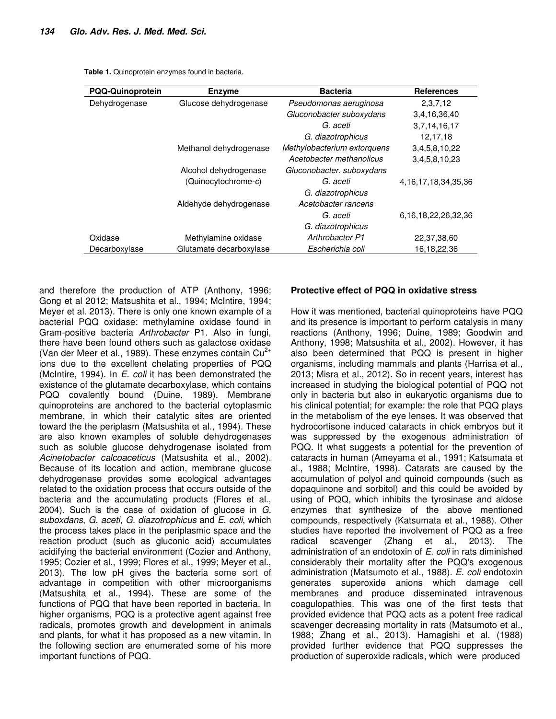**Table 1.** Quinoprotein enzymes found in bacteria.

| <b>PQQ-Quinoprotein</b> | <b>Enzyme</b>           | <b>Bacteria</b>             | <b>References</b>         |
|-------------------------|-------------------------|-----------------------------|---------------------------|
| Dehydrogenase           | Glucose dehydrogenase   | Pseudomonas aeruginosa      | 2,3,7,12                  |
|                         |                         | Gluconobacter suboxydans    | 3,4,16,36,40              |
|                         |                         | G. aceti                    | 3,7,14,16,17              |
|                         |                         | G. diazotrophicus           | 12,17,18                  |
|                         | Methanol dehydrogenase  | Methylobacterium extorquens | 3,4,5,8,10,22             |
|                         |                         | Acetobacter methanolicus    | 3,4,5,8,10,23             |
|                         | Alcohol dehydrogenase   | Gluconobacter. suboxydans   |                           |
|                         | (Quinocytochrome-c)     | G. aceti                    | 4, 16, 17, 18, 34, 35, 36 |
|                         |                         | G. diazotrophicus           |                           |
|                         | Aldehyde dehydrogenase  | Acetobacter rancens         |                           |
|                         |                         | G. aceti                    | 6, 16, 18, 22, 26, 32, 36 |
|                         |                         | G. diazotrophicus           |                           |
| Oxidase                 | Methylamine oxidase     | Arthrobacter P1             | 22,37,38,60               |
| Decarboxylase           | Glutamate decarboxylase | Escherichia coli            | 16, 18, 22, 36            |

and therefore the production of ATP (Anthony, 1996; Gong et al 2012; Matsushita et al., 1994; McIntire, 1994; Meyer et al. 2013). There is only one known example of a bacterial PQQ oxidase: methylamine oxidase found in Gram-positive bacteria Arthrobacter P1. Also in fungi, there have been found others such as galactose oxidase (Van der Meer et al., 1989). These enzymes contain  $Cu^{2+}$ ions due to the excellent chelating properties of PQQ (McIntire, 1994). In E. coli it has been demonstrated the existence of the glutamate decarboxylase, which contains PQQ covalently bound (Duine, 1989). Membrane quinoproteins are anchored to the bacterial cytoplasmic membrane, in which their catalytic sites are oriented toward the the periplasm (Matsushita et al., 1994). These are also known examples of soluble dehydrogenases such as soluble glucose dehydrogenase isolated from Acinetobacter calcoaceticus (Matsushita et al., 2002). Because of its location and action, membrane glucose dehydrogenase provides some ecological advantages related to the oxidation process that occurs outside of the bacteria and the accumulating products (Flores et al., 2004). Such is the case of oxidation of glucose in G. suboxdans, G. aceti, G. diazotrophicus and E. coli, which the process takes place in the periplasmic space and the reaction product (such as gluconic acid) accumulates acidifying the bacterial environment (Cozier and Anthony, 1995; Cozier et al., 1999; Flores et al., 1999; Meyer et al., 2013). The low pH gives the bacteria some sort of advantage in competition with other microorganisms (Matsushita et al., 1994). These are some of the functions of PQQ that have been reported in bacteria. In higher organisms, PQQ is a protective agent against free radicals, promotes growth and development in animals and plants, for what it has proposed as a new vitamin. In the following section are enumerated some of his more important functions of PQQ.

#### **Protective effect of PQQ in oxidative stress**

How it was mentioned, bacterial quinoproteins have PQQ and its presence is important to perform catalysis in many reactions (Anthony, 1996; Duine, 1989; Goodwin and Anthony, 1998; Matsushita et al., 2002). However, it has also been determined that PQQ is present in higher organisms, including mammals and plants (Harrisa et al., 2013; Misra et al., 2012). So in recent years, interest has increased in studying the biological potential of PQQ not only in bacteria but also in eukaryotic organisms due to his clinical potential; for example: the role that PQQ plays in the metabolism of the eye lenses. It was observed that hydrocortisone induced cataracts in chick embryos but it was suppressed by the exogenous administration of PQQ. It what suggests a potential for the prevention of cataracts in human (Ameyama et al., 1991; Katsumata et al., 1988; McIntire, 1998). Catarats are caused by the accumulation of polyol and quinoid compounds (such as dopaquinone and sorbitol) and this could be avoided by using of PQQ, which inhibits the tyrosinase and aldose enzymes that synthesize of the above mentioned compounds, respectively (Katsumata et al., 1988). Other studies have reported the involvement of PQQ as a free radical scavenger (Zhang et al., 2013). The administration of an endotoxin of E. coli in rats diminished considerably their mortality after the PQQ's exogenous administration (Matsumoto et al., 1988). E. coli endotoxin generates superoxide anions which damage cell membranes and produce disseminated intravenous coagulopathies. This was one of the first tests that provided evidence that PQQ acts as a potent free radical scavenger decreasing mortality in rats (Matsumoto et al., 1988; Zhang et al., 2013). Hamagishi et al. (1988) provided further evidence that PQQ suppresses the production of superoxide radicals, which were produced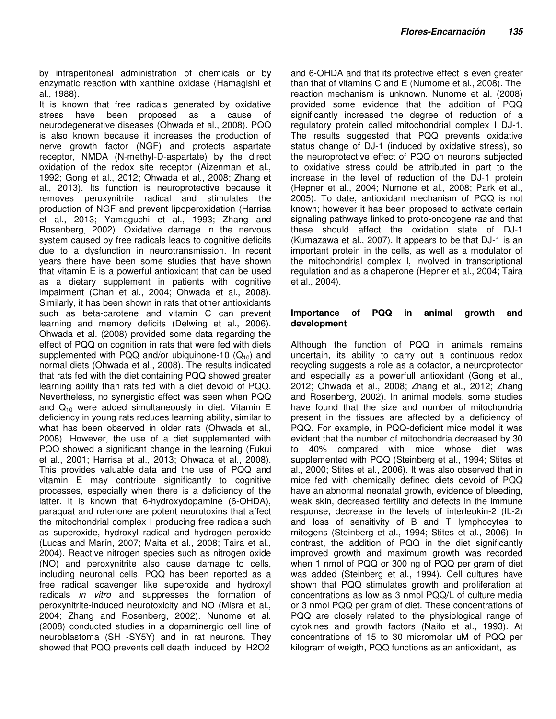by intraperitoneal administration of chemicals or by enzymatic reaction with xanthine oxidase (Hamagishi et al., 1988).

It is known that free radicals generated by oxidative stress have been proposed as a cause of neurodegenerative diseases (Ohwada et al., 2008). PQQ is also known because it increases the production of nerve growth factor (NGF) and protects aspartate receptor, NMDA (N-methyl-D-aspartate) by the direct oxidation of the redox site receptor (Aizenman et al., 1992; Gong et al., 2012; Ohwada et al., 2008; Zhang et al., 2013). Its function is neuroprotective because it removes peroxynitrite radical and stimulates the production of NGF and prevent lipoperoxidation (Harrisa et al., 2013; Yamaguchi et al., 1993; Zhang and Rosenberg, 2002). Oxidative damage in the nervous system caused by free radicals leads to cognitive deficits due to a dysfunction in neurotransmission. In recent years there have been some studies that have shown that vitamin E is a powerful antioxidant that can be used as a dietary supplement in patients with cognitive impairment (Chan et al., 2004; Ohwada et al., 2008). Similarly, it has been shown in rats that other antioxidants such as beta-carotene and vitamin C can prevent learning and memory deficits (Delwing et al., 2006). Ohwada et al. (2008) provided some data regarding the effect of PQQ on cognition in rats that were fed with diets supplemented with PQQ and/or ubiquinone-10  $(Q_{10})$  and normal diets (Ohwada et al., 2008). The results indicated that rats fed with the diet containing PQQ showed greater learning ability than rats fed with a diet devoid of PQQ. Nevertheless, no synergistic effect was seen when PQQ and  $Q_{10}$  were added simultaneously in diet. Vitamin E deficiency in young rats reduces learning ability, similar to what has been observed in older rats (Ohwada et al., 2008). However, the use of a diet supplemented with PQQ showed a significant change in the learning (Fukui et al., 2001; Harrisa et al., 2013; Ohwada et al., 2008). This provides valuable data and the use of PQQ and vitamin E may contribute significantly to cognitive processes, especially when there is a deficiency of the latter. It is known that 6-hydroxydopamine (6-OHDA), paraquat and rotenone are potent neurotoxins that affect the mitochondrial complex I producing free radicals such as superoxide, hydroxyl radical and hydrogen peroxide (Lucas and Marín, 2007; Maita et al., 2008; Taira et al., 2004). Reactive nitrogen species such as nitrogen oxide (NO) and peroxynitrite also cause damage to cells, including neuronal cells. PQQ has been reported as a free radical scavenger like superoxide and hydroxyl radicals in vitro and suppresses the formation of peroxynitrite-induced neurotoxicity and NO (Misra et al., 2004; Zhang and Rosenberg, 2002). Nunome et al. (2008) conducted studies in a dopaminergic cell line of neuroblastoma (SH -SY5Y) and in rat neurons. They showed that PQQ prevents cell death induced by H2O2

and 6-OHDA and that its protective effect is even greater than that of vitamins C and E (Numome et al., 2008). The reaction mechanism is unknown. Nunome et al. (2008) provided some evidence that the addition of PQQ significantly increased the degree of reduction of a regulatory protein called mitochondrial complex I DJ-1. The results suggested that PQQ prevents oxidative status change of DJ-1 (induced by oxidative stress), so the neuroprotective effect of PQQ on neurons subjected to oxidative stress could be attributed in part to the increase in the level of reduction of the DJ-1 protein (Hepner et al., 2004; Numone et al., 2008; Park et al., 2005). To date, antioxidant mechanism of PQQ is not known; however it has been proposed to activate certain signaling pathways linked to proto-oncogene ras and that these should affect the oxidation state of DJ-1 (Kumazawa et al., 2007). It appears to be that DJ-1 is an important protein in the cells, as well as a modulator of the mitochondrial complex I, involved in transcriptional regulation and as a chaperone (Hepner et al., 2004; Taira et al., 2004).

### **Importance of PQQ in animal growth and development**

Although the function of PQQ in animals remains uncertain, its ability to carry out a continuous redox recycling suggests a role as a cofactor, a neuroprotector and especially as a powerfull antioxidant (Gong et al., 2012; Ohwada et al., 2008; Zhang et al., 2012; Zhang and Rosenberg, 2002). In animal models, some studies have found that the size and number of mitochondria present in the tissues are affected by a deficiency of PQQ. For example, in PQQ-deficient mice model it was evident that the number of mitochondria decreased by 30 to 40% compared with mice whose diet was supplemented with PQQ (Steinberg et al., 1994; Stites et al., 2000; Stites et al., 2006). It was also observed that in mice fed with chemically defined diets devoid of PQQ have an abnormal neonatal growth, evidence of bleeding, weak skin, decreased fertility and defects in the immune response, decrease in the levels of interleukin-2 (IL-2) and loss of sensitivity of B and T lymphocytes to mitogens (Steinberg et al., 1994; Stites et al., 2006). In contrast, the addition of PQQ in the diet significantly improved growth and maximum growth was recorded when 1 nmol of PQQ or 300 ng of PQQ per gram of diet was added (Steinberg et al., 1994). Cell cultures have shown that PQQ stimulates growth and proliferation at concentrations as low as 3 nmol PQQ/L of culture media or 3 nmol PQQ per gram of diet. These concentrations of PQQ are closely related to the physiological range of cytokines and growth factors (Naito et al., 1993). At concentrations of 15 to 30 micromolar uM of PQQ per kilogram of weigth, PQQ functions as an antioxidant, as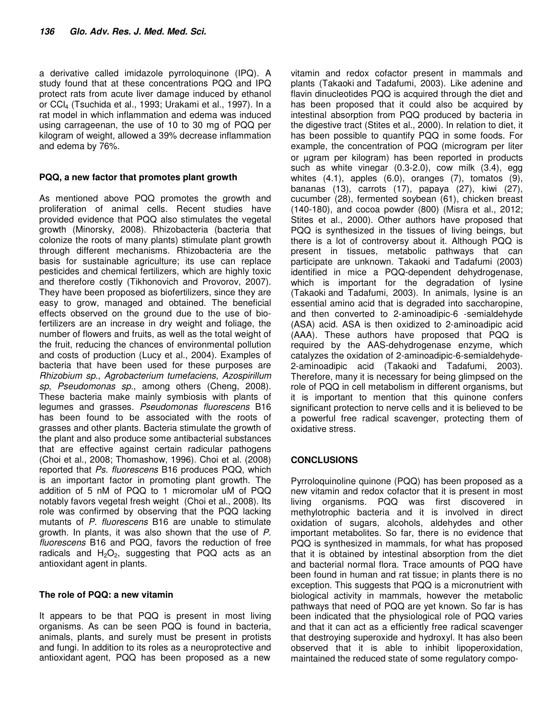a derivative called imidazole pyrroloquinone (IPQ). A study found that at these concentrations PQQ and IPQ protect rats from acute liver damage induced by ethanol or CCl4 (Tsuchida et al., 1993; Urakami et al., 1997). In a rat model in which inflammation and edema was induced using carrageenan, the use of 10 to 30 mg of PQQ per kilogram of weight, allowed a 39% decrease inflammation and edema by 76%.

## **PQQ, a new factor that promotes plant growth**

As mentioned above PQQ promotes the growth and proliferation of animal cells. Recent studies have provided evidence that PQQ also stimulates the vegetal growth (Minorsky, 2008). Rhizobacteria (bacteria that colonize the roots of many plants) stimulate plant growth through different mechanisms. Rhizobacteria are the basis for sustainable agriculture; its use can replace pesticides and chemical fertilizers, which are highly toxic and therefore costly (Tikhonovich and Provorov, 2007). They have been proposed as biofertilizers, since they are easy to grow, managed and obtained. The beneficial effects observed on the ground due to the use of biofertilizers are an increase in dry weight and foliage, the number of flowers and fruits, as well as the total weight of the fruit, reducing the chances of environmental pollution and costs of production (Lucy et al., 2004). Examples of bacteria that have been used for these purposes are Rhizobium sp., Agrobacterium tumefaciens, Azospirillum sp, Pseudomonas sp., among others (Cheng, 2008). These bacteria make mainly symbiosis with plants of legumes and grasses. Pseudomonas fluorescens B16 has been found to be associated with the roots of grasses and other plants. Bacteria stimulate the growth of the plant and also produce some antibacterial substances that are effective against certain radicular pathogens (Choi et al., 2008; Thomashow, 1996). Choi et al. (2008) reported that Ps. fluorescens B16 produces PQQ, which is an important factor in promoting plant growth. The addition of 5 nM of PQQ to 1 micromolar uM of PQQ notably favors vegetal fresh weight (Choi et al., 2008). Its role was confirmed by observing that the PQQ lacking mutants of P. fluorescens B16 are unable to stimulate growth. In plants, it was also shown that the use of P. fluorescens B16 and PQQ, favors the reduction of free radicals and  $H_2O_2$ , suggesting that PQQ acts as an antioxidant agent in plants.

# **The role of PQQ: a new vitamin**

It appears to be that PQQ is present in most living organisms. As can be seen PQQ is found in bacteria, animals, plants, and surely must be present in protists and fungi. In addition to its roles as a neuroprotective and antioxidant agent, PQQ has been proposed as a new

vitamin and redox cofactor present in mammals and plants (Takaoki and Tadafumi, 2003). Like adenine and flavin dinucleotides PQQ is acquired through the diet and has been proposed that it could also be acquired by intestinal absorption from PQQ produced by bacteria in the digestive tract (Stites et al., 2000). In relation to diet, it has been possible to quantify PQQ in some foods. For example, the concentration of PQQ (microgram per liter or µgram per kilogram) has been reported in products such as white vinegar (0.3-2.0), cow milk (3.4), egg whites (4.1), apples (6.0), oranges (7), tomatos (9), bananas (13), carrots (17), papaya (27), kiwi (27), cucumber (28), fermented soybean (61), chicken breast (140-180), and cocoa powder (800) (Misra et al., 2012; Stites et al., 2000). Other authors have proposed that PQQ is synthesized in the tissues of living beings, but there is a lot of controversy about it. Although PQQ is present in tissues, metabolic pathways that can participate are unknown. Takaoki and Tadafumi (2003) identified in mice a PQQ-dependent dehydrogenase, which is important for the degradation of lysine (Takaoki and Tadafumi, 2003). In animals, lysine is an essential amino acid that is degraded into saccharopine, and then converted to 2-aminoadipic-6 -semialdehyde (ASA) acid. ASA is then oxidized to 2-aminoadipic acid (AAA). These authors have proposed that PQQ is required by the AAS-dehydrogenase enzyme, which catalyzes the oxidation of 2-aminoadipic-6-semialdehyde-2-aminoadipic acid (Takaoki and Tadafumi, 2003). Therefore, many it is necessary for being glimpsed on the role of PQQ in cell metabolism in different organisms, but it is important to mention that this quinone confers significant protection to nerve cells and it is believed to be a powerful free radical scavenger, protecting them of oxidative stress.

# **CONCLUSIONS**

Pyrroloquinoline quinone (PQQ) has been proposed as a new vitamin and redox cofactor that it is present in most living organisms. PQQ was first discovered in methylotrophic bacteria and it is involved in direct oxidation of sugars, alcohols, aldehydes and other important metabolites. So far, there is no evidence that PQQ is synthesized in mammals, for what has proposed that it is obtained by intestinal absorption from the diet and bacterial normal flora. Trace amounts of PQQ have been found in human and rat tissue; in plants there is no exception. This suggests that PQQ is a micronutrient with biological activity in mammals, however the metabolic pathways that need of PQQ are yet known. So far is has been indicated that the physiological role of PQQ varies and that it can act as a efficiently free radical scavenger that destroying superoxide and hydroxyl. It has also been observed that it is able to inhibit lipoperoxidation, maintained the reduced state of some regulatory compo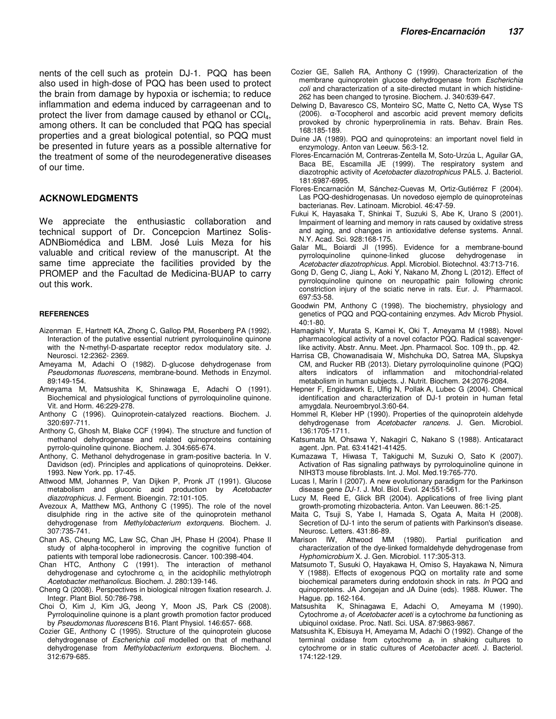nents of the cell such as protein DJ-1. PQQ has been also used in high-dose of PQQ has been used to protect the brain from damage by hypoxia or ischemia; to reduce inflammation and edema induced by carrageenan and to protect the liver from damage caused by ethanol or  $CCl<sub>4</sub>$ , among others. It can be concluded that PQQ has special properties and a great biological potential, so PQQ must be presented in future years as a possible alternative for the treatment of some of the neurodegenerative diseases of our time.

#### **ACKNOWLEDGMENTS**

We appreciate the enthusiastic collaboration and technical support of Dr. Concepcion Martinez Solis-ADNBiomédica and LBM. José Luis Meza for his valuable and critical review of the manuscript. At the same time appreciate the facilities provided by the PROMEP and the Facultad de Medicina-BUAP to carry out this work.

#### **REFERENCES**

- Aizenman E, Hartnett KA, Zhong C, Gallop PM, Rosenberg PA (1992). Interaction of the putative essential nutrient pyrroloquinoline quinone with the N-methyl-D-aspartate receptor redox modulatory site. J. Neurosci. 12:2362- 2369.
- Ameyama M, Adachi O (1982). D-glucose dehydrogenase from Pseudomonas fluorescens, membrane-bound. Methods in Enzymol. 89:149-154.
- Ameyama M, Matsushita K, Shinawaga E, Adachi O (1991). Biochemical and physiological functions of pyrroloquinoline quinone. Vit. and Horm. 46:229-278.
- Anthony C (1996). Quinoprotein-catalyzed reactions. Biochem. J. 320:697-711.
- Anthony C, Ghosh M, Blake CCF (1994). The structure and function of methanol dehydrogenase and related quinoproteins containing pyrrolo-quinoline quinone. Biochem. J. 304:665-674.
- Anthony, C. Methanol dehydrogenase in gram-positive bacteria. In V. Davidson (ed). Principles and applications of quinoproteins. Dekker. 1993. New York. pp. 17-45.
- Attwood MM, Johannes P, Van Dijken P, Pronk JT (1991). Glucose metabolism and gluconic acid production by Acetobacter diazotrophicus. J. Ferment. Bioengin. 72:101-105.
- Avezoux A, Matthew MG, Anthony C (1995). The role of the novel disulphide ring in the active site of the quinoprotein methanol dehydrogenase from Methylobacterium extorquens. Biochem. J. 307:735-741.
- Chan AS, Cheung MC, Law SC, Chan JH, Phase H (2004). Phase II study of alpha-tocopherol in improving the cognitive function of patients with temporal lobe radionecrosis. Cancer. 100:398-404.
- Chan HTC, Anthony C (1991). The interaction of methanol dehydrogenase and cytochrome  $c<sub>L</sub>$  in the acidophilic methylotroph Acetobacter methanolicus. Biochem. J. 280:139-146.
- Cheng Q (2008). Perspectives in biological nitrogen fixation research. J. Integr. Plant Biol. 50:786-798.
- Choi O, Kim J, Kim JG, Jeong Y, Moon JS, Park CS (2008). Pyrroloquinoline quinone is a plant growth promotion factor produced by Pseudomonas fluorescens B16. Plant Physiol. 146:657- 668.
- Cozier GE, Anthony C (1995). Structure of the quinoprotein glucose dehydrogenase of Escherichia coli modelled on that of methanol dehydrogenase from Methylobacterium extorquens. Biochem. J. 312:679-685.
- Cozier GE, Salleh RA, Anthony C (1999). Characterization of the membrane quinoprotein glucose dehydrogenase from Escherichia coli and characterization of a site-directed mutant in which histidine-262 has been changed to tyrosine. Biochem. J. 340:639-647.
- Delwing D, Bavaresco CS, Monteiro SC, Matte C, Netto CA, Wyse TS (2006). α-Tocopherol and ascorbic acid prevent memory deficits provoked by chronic hyperprolinemia in rats. Behav. Brain Res. 168:185-189.
- Duine JA (1989). PQQ and quinoproteins: an important novel field in enzymology. Anton van Leeuw. 56:3-12.
- Flores-Encarnación M, Contreras-Zentella M, Soto-Urzúa L, Aguilar GA, Baca BE, Escamilla JE (1999). The respiratory system and diazotrophic activity of Acetobacter diazotrophicus PAL5. J. Bacteriol. 181:6987-6995.
- Flores-Encarnación M, Sánchez-Cuevas M, Ortiz-Gutiérrez F (2004). Las PQQ-deshidrogenasas. Un novedoso ejemplo de quinoproteínas bacterianas. Rev. Latinoam. Microbiol. 46:47-59.
- Fukui K, Hayasaka T, Shinkai T, Suzuki S, Abe K, Urano S (2001). Impairment of learning and memory in rats caused by oxidative stress and aging, and changes in antioxidative defense systems. Annal. N.Y. Acad. Sci. 928:168-175.
- Galar ML, Boiardi JI (1995). Evidence for a membrane-bound pyrroloquinoline quinone-linked glucose dehydrogenase in Acetobacter diazotrophicus. Appl. Microbiol. Biotechnol. 43:713-716.
- Gong D, Geng C, Jiang L, Aoki Y, Nakano M, Zhong L (2012). Effect of pyrroloquinoline quinone on neuropathic pain following chronic constriction injury of the sciatic nerve in rats. Eur. J. Pharmacol. 697:53-58.
- Goodwin PM, Anthony C (1998). The biochemistry, physiology and genetics of PQQ and PQQ-containing enzymes. Adv Microb Physiol. 40:1-80.
- Hamagishi Y, Murata S, Kamei K, Oki T, Ameyama M (1988). Novel pharmacological activity of a novel cofactor PQQ. Radical scavengerlike activity. Abstr. Annu. Meet. Jpn. Pharmacol. Soc. 109 th., pp. 42.
- Harrisa CB, Chowanadisaia W, Mishchuka DO, Satrea MA, Slupskya CM, and Rucker RB (2013). Dietary pyrroloquinoline quinone (PQQ) alters indicators of inflammation and mitochondrial-related metabolism in human subjects. J. Nutrit. Biochem. 24:2076-2084.
- Hepner F, Engidawork E, Ulfig N, Pollak A, Lubec G (2004). Chemical identification and characterization of DJ-1 protein in human fetal amygdala. Neuroembryol.3:60-64.
- Hommel R, Kleber HP (1990). Properties of the quinoprotein aldehyde dehydrogenase from Acetobacter rancens. J. Gen. Microbiol. 136:1705-1711.
- Katsumata M, Ohsawa Y, Nakagiri C, Nakano S (1988). Anticataract agent. Jpn. Pat. 63:41421-41425.
- Kumazawa T, Hiwasa T, Takiguchi M, Suzuki O, Sato K (2007). Activation of Ras signaling pathways by pyrroloquinoline quinone in NIH3T3 mouse fibroblasts. Int. J. Mol. Med.19:765-770.
- Lucas I, Marín I (2007). A new evolutionary paradigm for the Parkinson disease gene DJ-1. J. Mol. Biol. Evol. 24:551-561.
- Lucy M, Reed E, Glick BR (2004). Applications of free living plant growth-promoting rhizobacteria. Anton. Van Leeuwen. 86:1-25.
- Maita C, Tsuji S, Yabe I, Hamada S, Ogata A, Maita H (2008). Secretion of DJ-1 into the serum of patients with Parkinson's disease. Neurosc. Letters. 431:86-89.
- Marison IW, Attwood MM (1980). Partial purification and characterization of the dye-linked formaldehyde dehydrogenase from Hyphomicrobium X. J. Gen. Microbiol. 117:305-313.
- Matsumoto T, Susuki O, Hayakawa H, Omiso S, Hayakawa N, Nimura Y (1988). Effects of exogenous PQQ on mortality rate and some biochemical parameters during endotoxin shock in rats. In PQQ and quinoproteins. JA Jongejan and JA Duine (eds). 1988. Kluwer. The Hague. pp. 162-164.
- Matsushita K, Shinagawa E, Adachi O, Ameyama M (1990). Cytochrome  $a_1$  of Acetobacter aceti is a cytochrome ba functioning as ubiquinol oxidase. Proc. Natl. Sci. USA. 87:9863-9867.
- Matsushita K, Ebisuya H, Ameyama M, Adachi O (1992). Change of the terminal oxidase from cytochrome  $a_1$  in shaking cultures to cytochrome or in static cultures of Acetobacter aceti. J. Bacteriol. 174:122-129.